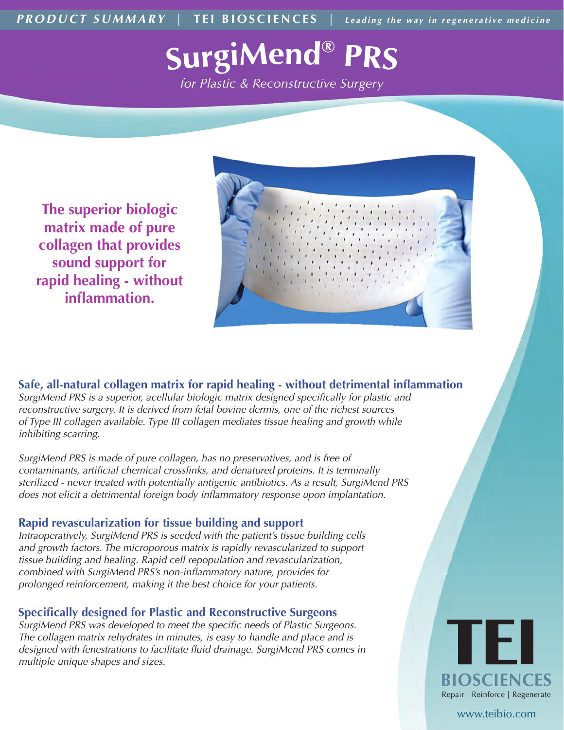*PRODUCT SUMMARY* | TEI BIOSCIENCES | *Leading the way in regenerative medicine* 

# **SurgiMend® PRS**

for Plastic & Reconstructive Surgery

**The superior biologic matrix made of pure collagen that provides sound support for rapid healing - without inflammation.**



*SurgiMend PRS is a superior, acellular biologic matrix designed specifically for plastic and reconstructive surgery. It is derived from fetal bovine dermis, one of the richest sources of Type III collagen available. Type III collagen mediates tissue healing and growth while inhibiting scarring.* **Safe, all-natural collagen matrix for rapid healing - without detrimental inflammation** 

*SurgiMend PRS is made of pure collagen, has no preservatives, and is free of contaminants, artificial chemical crosslinks, and denatured proteins. It is terminally sterilized - never treated with potentially antigenic antibiotics. As a result, SurgiMend PRS does not elicit a detrimental foreign body inflammatory response upon implantation.* 

#### **Rapid revascularization for tissue building and support**

*Intraoperatively, SurgiMend PRS is seeded with the patient's tissue building cells*  and growth factors. The microporous matrix is rapidly revascularized to support *tissue building and healing. Rapid cell repopulation and revascularization, combined with SurgiMend PRS's non-inflammatory nature, provides for prolonged reinforcement, making it the best choice for your patients.*

#### **Specifically designed for Plastic and Reconstructive Surgeons**

*SurgiMend PRS was developed to meet the specific needs of Plastic Surgeons. The collagen matrix rehydrates in minutes, is easy to handle and place and is designed with fenestrations to facilitate fluid drainage. SurgiMend PRS comes in multiple unique shapes and sizes.*



www.teibio.com